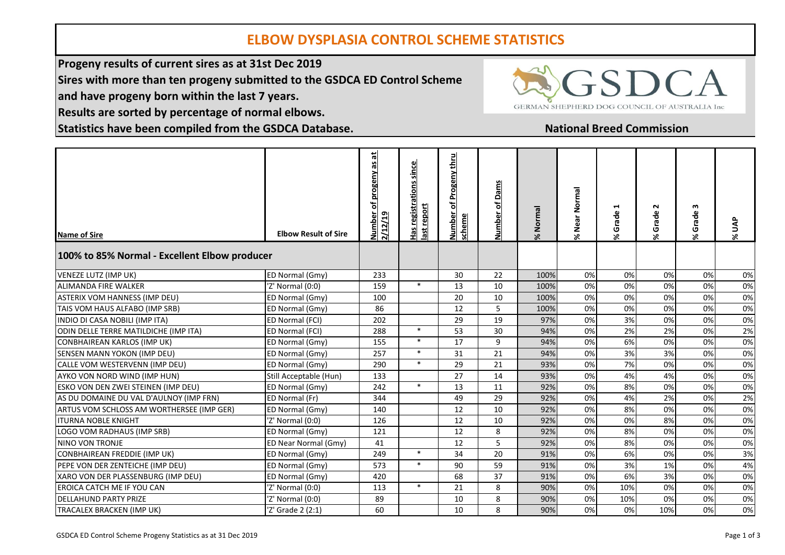## **ELBOW DYSPLASIA CONTROL SCHEME STATISTICS**

**Progeny results of current sires as at 31st Dec 2019**

**Sires with more than ten progeny submitted to the GSDCA ED Control Scheme**

**and have progeny born within the last 7 years.**

**Results are sorted by percentage of normal elbows.**

**Statistics have been compiled from the GSDCA Database.**

# **SDCA** GERMAN SHEPHERD DOG COUNCIL OF AUSTRALIA Inc

### **National Breed Commission**

| <b>Name of Sire</b><br>100% to 85% Normal - Excellent Elbow producer | <b>Elbow Result of Sire</b> | Number of progeny as at<br>2/12/19 | since<br>Has registrations<br>report<br>힒 | Progeny thru<br>비<br><u>Number</u><br>scheme | of Dams<br>Number | Normal | % Near Normal | 1<br>Grade<br>ج. | $\sim$<br>Grade<br>×. | m<br>Grade<br>×. | % UAP |
|----------------------------------------------------------------------|-----------------------------|------------------------------------|-------------------------------------------|----------------------------------------------|-------------------|--------|---------------|------------------|-----------------------|------------------|-------|
| VENEZE LUTZ (IMP UK)                                                 | ED Normal (Gmy)             | 233                                |                                           | 30                                           | 22                | 100%   | 0%            | 0%               | 0%                    | 0%               | 0%    |
| <b>ALIMANDA FIRE WALKER</b>                                          | 'Z' Normal (0:0)            | 159                                | $\ast$                                    | 13                                           | 10                | 100%   | 0%            | 0%               | 0%                    | 0%               | 0%    |
| <b>ASTERIX VOM HANNESS (IMP DEU)</b>                                 | ED Normal (Gmy)             | 100                                |                                           | 20                                           | 10                | 100%   | 0%            | 0%               | 0%                    | 0%               | 0%    |
| TAIS VOM HAUS ALFABO (IMP SRB)                                       | ED Normal (Gmy)             | 86                                 |                                           | 12                                           | 5                 | 100%   | 0%            | 0%               | 0%                    | 0%               | 0%    |
| INDIO DI CASA NOBILI (IMP ITA)                                       | ED Normal (FCI)             | 202                                |                                           | 29                                           | 19                | 97%    | 0%            | 3%               | 0%                    | 0%               | 0%    |
| ODIN DELLE TERRE MATILDICHE (IMP ITA)                                | ED Normal (FCI)             | 288                                | $\ast$                                    | 53                                           | 30                | 94%    | 0%            | 2%               | 2%                    | 0%               | 2%    |
| <b>CONBHAIREAN KARLOS (IMP UK)</b>                                   | ED Normal (Gmy)             | 155                                | $\ast$                                    | 17                                           | 9                 | 94%    | 0%            | 6%               | 0%                    | 0%               | 0%    |
| SENSEN MANN YOKON (IMP DEU)                                          | ED Normal (Gmy)             | 257                                | $\ast$                                    | 31                                           | 21                | 94%    | 0%            | 3%               | 3%                    | 0%               | 0%    |
| CALLE VOM WESTERVENN (IMP DEU)                                       | ED Normal (Gmy)             | 290                                | $\ast$                                    | 29                                           | 21                | 93%    | 0%            | 7%               | 0%                    | 0%               | 0%    |
| AYKO VON NORD WIND (IMP HUN)                                         | Still Acceptable (Hun)      | 133                                |                                           | 27                                           | 14                | 93%    | 0%            | 4%               | 4%                    | 0%               | 0%    |
| ESKO VON DEN ZWEI STEINEN (IMP DEU)                                  | ED Normal (Gmy)             | 242                                | $\ast$                                    | 13                                           | 11                | 92%    | 0%            | 8%               | 0%                    | 0%               | 0%    |
| AS DU DOMAINE DU VAL D'AULNOY (IMP FRN)                              | ED Normal (Fr)              | 344                                |                                           | 49                                           | 29                | 92%    | 0%            | 4%               | 2%                    | 0%               | 2%    |
| ARTUS VOM SCHLOSS AM WORTHERSEE (IMP GER)                            | ED Normal (Gmy)             | 140                                |                                           | 12                                           | 10                | 92%    | 0%            | 8%               | 0%                    | 0%               | 0%    |
| <b>ITURNA NOBLE KNIGHT</b>                                           | 'Z' Normal (0:0)            | 126                                |                                           | 12                                           | 10                | 92%    | 0%            | 0%               | 8%                    | 0%               | 0%    |
| LOGO VOM RADHAUS (IMP SRB)                                           | ED Normal (Gmy)             | 121                                |                                           | 12                                           | 8                 | 92%    | 0%            | 8%               | 0%                    | 0%               | 0%    |
| NINO VON TRONJE                                                      | ED Near Normal (Gmy)        | 41                                 |                                           | 12                                           | 5                 | 92%    | 0%            | 8%               | 0%                    | 0%               | 0%    |
| <b>CONBHAIREAN FREDDIE (IMP UK)</b>                                  | ED Normal (Gmy)             | 249                                | $\ast$                                    | 34                                           | 20                | 91%    | 0%            | 6%               | 0%                    | 0%               | 3%    |
| PEPE VON DER ZENTEICHE (IMP DEU)                                     | ED Normal (Gmy)             | 573                                | $\ast$                                    | 90                                           | 59                | 91%    | 0%            | 3%               | 1%                    | 0%               | 4%    |
| XARO VON DER PLASSENBURG (IMP DEU)                                   | ED Normal (Gmy)             | 420                                |                                           | 68                                           | 37                | 91%    | 0%            | 6%               | 3%                    | 0%               | 0%    |
| EROICA CATCH ME IF YOU CAN                                           | 'Z' Normal (0:0)            | 113                                | $\ast$                                    | 21                                           | 8                 | 90%    | 0%            | 10%              | 0%                    | 0%               | 0%    |
| <b>DELLAHUND PARTY PRIZE</b>                                         | 'Z' Normal (0:0)            | 89                                 |                                           | 10                                           | 8                 | 90%    | 0%            | 10%              | 0%                    | 0%               | 0%    |
| TRACALEX BRACKEN (IMP UK)                                            | 'Z' Grade 2 (2:1)           | 60                                 |                                           | 10                                           | 8                 | 90%    | 0%            | 0%               | 10%                   | 0%               | 0%    |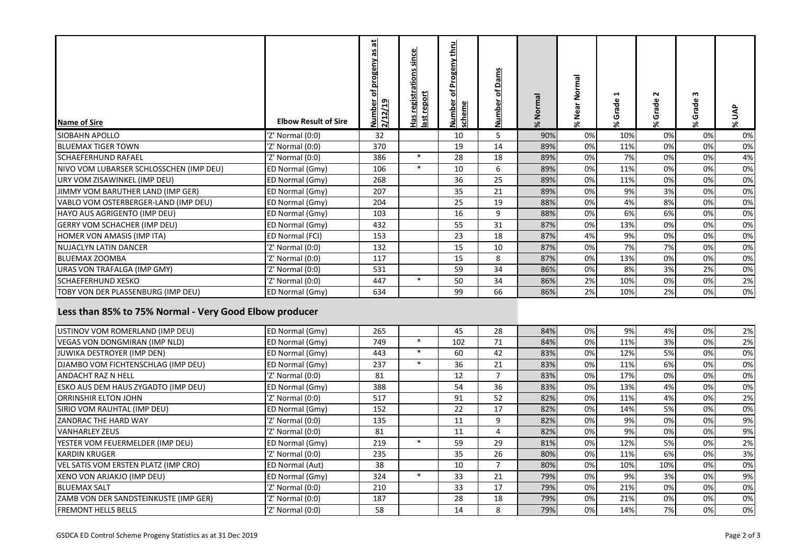| <b>Name of Sire</b>                     | <b>Elbow Result of Sire</b> | 붜<br>of progeny as<br><u>Number</u><br>2/12/19 | since<br>registrations<br>report<br>ist<br>휘 | thru<br>rogeny<br>ត<br>scheme<br><b>DANINE</b> | ۵<br>৳<br>웉<br>ᅴ<br>ΞI | Normal<br>$\approx$ | Normal<br>% Near | ⊣<br>rade<br>Ū<br>≫. | N<br>Grade<br>۶٤ | w<br>ade<br>Ğ<br>$\aleph$ | <b>SP</b><br>% |
|-----------------------------------------|-----------------------------|------------------------------------------------|----------------------------------------------|------------------------------------------------|------------------------|---------------------|------------------|----------------------|------------------|---------------------------|----------------|
| <b>SIOBAHN APOLLO</b>                   | 'Z' Normal (0:0)            | 32                                             |                                              | 10                                             | 5                      | 90%                 | 0%               | 10%                  | 0%               | 0%                        | 0%             |
| <b>BLUEMAX TIGER TOWN</b>               | 'Z' Normal (0:0)            | 370                                            |                                              | 19                                             | 14                     | 89%                 | 0%               | 11%                  | 0%               | 0%                        | 0%             |
| <b>SCHAEFERHUND RAFAEL</b>              | 'Z' Normal (0:0)            | 386                                            | $\ast$                                       | 28                                             | 18                     | 89%                 | 0%               | 7%                   | 0%               | 0%                        | 4%             |
| NIVO VOM LUBARSER SCHLOSSCHEN (IMP DEU) | ED Normal (Gmy)             | 106                                            | $\ast$                                       | 10                                             | 6                      | 89%                 | 0%               | 11%                  | 0%               | 0%                        | 0%             |
| URY VOM ZISAWINKEL (IMP DEU)            | ED Normal (Gmy)             | 268                                            |                                              | 36                                             | 25                     | 89%                 | 0%               | 11%                  | 0%               | 0%                        | 0%             |
| JIMMY VOM BARUTHER LAND (IMP GER)       | ED Normal (Gmy)             | 207                                            |                                              | 35                                             | 21                     | 89%                 | 0%               | 9%                   | 3%               | 0%                        | 0%             |
| VABLO VOM OSTERBERGER-LAND (IMP DEU)    | ED Normal (Gmy)             | 204                                            |                                              | 25                                             | 19                     | 88%                 | 0%               | 4%                   | 8%               | 0%                        | 0%             |
| HAYO AUS AGRIGENTO (IMP DEU)            | ED Normal (Gmy)             | 103                                            |                                              | 16                                             | 9                      | 88%                 | 0%               | 6%                   | 6%               | 0%                        | 0%             |
| <b>GERRY VOM SCHACHER (IMP DEU)</b>     | ED Normal (Gmy)             | 432                                            |                                              | 55                                             | 31                     | 87%                 | 0%               | 13%                  | 0%               | 0%                        | 0%             |
| <b>HOMER VON AMASIS (IMP ITA)</b>       | ED Normal (FCI)             | 153                                            |                                              | 23                                             | 18                     | 87%                 | 4%               | 9%                   | 0%               | 0%                        | 0%             |
| <b>NUJACLYN LATIN DANCER</b>            | 'Z' Normal (0:0)            | 132                                            |                                              | 15                                             | 10                     | 87%                 | 0%               | 7%                   | 7%               | 0%                        | 0%             |
| <b>BLUEMAX ZOOMBA</b>                   | 'Z' Normal (0:0)            | 117                                            |                                              | 15                                             | 8                      | 87%                 | 0%               | 13%                  | 0%               | 0%                        | 0%             |
| URAS VON TRAFALGA (IMP GMY)             | 'Z' Normal (0:0)            | 531                                            |                                              | 59                                             | 34                     | 86%                 | 0%               | 8%                   | 3%               | 2%                        | 0%             |
| <b>SCHAEFERHUND XESKO</b>               | 'Z' Normal (0:0)            | 447                                            | $\ast$                                       | 50                                             | 34                     | 86%                 | 2%               | 10%                  | 0%               | 0%                        | 2%             |
| TOBY VON DER PLASSENBURG (IMP DEU)      | ED Normal (Gmy)             | 634                                            |                                              | 99                                             | 66                     | 86%                 | 2%               | 10%                  | 2%               | 0%                        | 0%             |

### **Less than 85% to 75% Normal - Very Good Elbow producer**

| USTINOV VOM ROMERLAND (IMP DEU)              | ED Normal (Gmy)  | 265 | 45  | 28 | 84% | 0% | 9%  | 4%  | 0% | 2% |
|----------------------------------------------|------------------|-----|-----|----|-----|----|-----|-----|----|----|
|                                              |                  |     |     |    |     |    |     |     |    |    |
| VEGAS VON DONGMIRAN (IMP NLD)                | ED Normal (Gmy)  | 749 | 102 | 71 | 84% | 0% | 11% | 3%  | 0% | 2% |
| JUWIKA DESTROYER (IMP DEN)                   | ED Normal (Gmy)  | 443 | 60  | 42 | 83% | 0% | 12% | 5%  | 0% | 0% |
| DJAMBO VOM FICHTENSCHLAG (IMP DEU)           | ED Normal (Gmy)  | 237 | 36  | 21 | 83% | 0% | 11% | 6%  | 0% | 0% |
| <b>ANDACHT RAZ N HELL</b>                    | 'Z' Normal (0:0) | 81  | 12  |    | 83% | 0% | 17% | 0%  | 0% | 0% |
| <b>ESKO AUS DEM HAUS ZYGADTO (IMP DEU)</b>   | ED Normal (Gmy)  | 388 | 54  | 36 | 83% | 0% | 13% | 4%  | 0% | 0% |
| <b>ORRINSHIR ELTON JOHN</b>                  | 'Z' Normal (0:0) | 517 | 91  | 52 | 82% | 0% | 11% | 4%  | 0% | 2% |
| SIRIO VOM RAUHTAL (IMP DEU)                  | ED Normal (Gmy)  | 152 | 22  | 17 | 82% | 0% | 14% | 5%  | 0% | 0% |
| <b>ZANDRAC THE HARD WAY</b>                  | 'Z' Normal (0:0) | 135 | 11  | 9  | 82% | 0% | 9%  | 0%  | 0% | 9% |
| <b>VANHARLEY ZEUS</b>                        | 'Z' Normal (0:0) | 81  | 11  | 4  | 82% | 0% | 9%  | 0%  | 0% | 9% |
| YESTER VOM FEUERMELDER (IMP DEU)             | ED Normal (Gmy)  | 219 | 59  | 29 | 81% | 0% | 12% | 5%  | 0% | 2% |
| <b>IKARDIN KRUGER</b>                        | 'Z' Normal (0:0) | 235 | 35  | 26 | 80% | 0% | 11% | 6%  | 0% | 3% |
| VEL SATIS VOM ERSTEN PLATZ (IMP CRO)         | ED Normal (Aut)  | 38  | 10  |    | 80% | 0% | 10% | 10% | 0% | 0% |
| XENO VON ARJAKJO (IMP DEU)                   | ED Normal (Gmy)  | 324 | 33  | 21 | 79% | 0% | 9%  | 3%  | 0% | 9% |
| <b>BLUEMAX SALT</b>                          | 'Z' Normal (0:0) | 210 | 33  | 17 | 79% | 0% | 21% | 0%  | 0% | 0% |
| <b>ZAMB VON DER SANDSTEINKUSTE (IMP GER)</b> | 'Z' Normal (0:0) | 187 | 28  | 18 | 79% | 0% | 21% | 0%  | 0% | 0% |
| <b>IFREMONT HELLS BELLS</b>                  | 'Z' Normal (0:0) | 58  | 14  | 8  | 79% | 0% | 14% | 7%  | 0% | 0% |